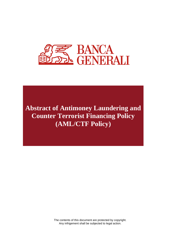

**Abstract of Antimoney Laundering and Counter Terrorist Financing Policy (AML/CTF Policy)**

> The contents of this document are protected by copyright. Any infrigement shall be subjected to legal action.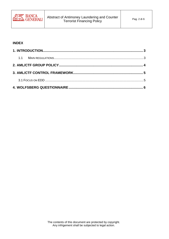

#### **INDEX**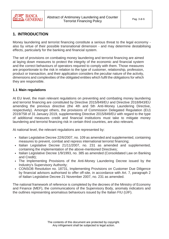

# <span id="page-2-0"></span>**1. INTRODUCTION**

Money laundering and terrorist financing constitute a serious threat to the legal economy also by virtue of their possible transnational dimension - and may determine destabilising effects, particularly for the banking and financial system.

The set of provisions on combating money laundering and terrorist financing are aimed at laying down measures to protect the integrity of the economic and financial system and the correct behaviours of operators required to comply with them. Those measures are proportionate to the risk in relation to the type of customer, relationship, profession, product or transaction, and their application considers the peculiar nature of the activity, dimensions and complexities of the obligated entities which fulfil the obligations for which they are responsible.

### <span id="page-2-1"></span>**1.1 Main regulations**

At EU level, the main relevant regulations on preventing and combating money laundering and terrorist financing are constituted by Directive 2015/849/EU and Directive 2018/843/EU amending the previous directive (the 4th and 5th Anti-Money Laundering Directive, respectively). Amongst others, the provisions of Commission Delegated Regulation (EU) 2019/758 of 31 January 2019, supplementing Directive 2015/849/EU with regard to the type of additional measures credit and financial institutions must take to mitigate money laundering and terrorist financing risk in certain third countries, are also relevant.

At national level, the relevant regulations are represented by:

- Italian Legislative Decree 22/6/2007, no. 109 as amended and supplemented, containing measures to prevent, combat and repress international terrorist financing;
- Italian Legislative Decree 21/11/2007, no. 231 as amended and supplemented, containing the implementation of the above-mentioned Directives;
- Italian Legislative Decree 1/9/1993, no. 385 as amended (Consolidated Law on Banking and Credit);
- The Implementing Provisions of the Anti-Money Laundering Decree issued by the Industry's Supervisory Authority;
- CONSOB Resolution no. 18731, Implementing Provisions on Customer Due Diligence by financial advisors authorised to offer off-site, in accordance with Art. 7, paragraph 2 of Italian Legislative Decree 21 November 2007, no. 231 as amended.

The national framework of reference is completed by the decrees of the Ministry of Economy and Finance (MEF), the communications of the Supervisory Body, anomaly indicators and the outlines representing anomalous behaviours issued by the Italian FIU (UIF).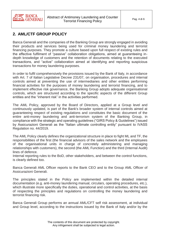

# <span id="page-3-0"></span>**2. AML/CTF GROUP POLICY**

Banca Generali and the companies of the Banking Group are strongly engaged in avoiding their products and services being used for criminal money laundering and terrorist financing purposes. They promote a culture based upon full respect of existing rules and the effective fulfilment of "passive" collaboration obligations, aimed at guaranteeing indepth knowledge of customers and the retention of documents relating to the executed transactions, and "active" collaboration aimed at identifying and reporting suspicious transactions for money laundering purposes.

In order to fulfil comprehensively the provisions issued by the Bank of Italy, in accordance with Art. 7 of Italian Legislative Decree 231/07, on organisation, procedures and internal controls aimed at preventing the use of intermediaries and other entities performing financial activities for the purposes of money laundering and terrorist financing, and to implement effective risk governance, the Banking Group adopts adequate organisational controls, which are structured according to the specific aspects of the different Group entities and the "inherent risk" in the activities performed.

The AML Policy, approved by the Board of Directors, applied at a Group level and continuously updated, is part of the Bank's broader system of internal controls aimed at guaranteeing respect of existing regulations and constitutes the basic document of the entire anti-money laundering and anti-terrorism system of the Banking Group, in compliance with the strategic and operating guidelines ("GIRS Policy & Guidelines") issued by Assicurazioni Generali as the "Italian ultimate controlling entity" pursuant to IVASS Regulation no. 44/2019.

The AML Policy clearly defines the organizational structure in place to fight ML and TF, the responsibilities of the first (the financial advisors of the sales network and the employees of the organisational units in charge of concretely administering and managing relationships with customers), the second (the AML Function) and the third (Internal Audit) lines of defence.

Internal reporting rules to the BoD, other stakeholders, and between the control functions, is clearly defined too.

Banca Generali AML Officer reports to the Bank CEO and to the Group AML Officer of Assicurazioni Generali.

The principles stated in the Policy are implemented within the detailed internal documentation (e.g. anti-money laundering manual, circulars, operating procedures, etc.), which illustrate more specifically the duties, operational and control activities, at the basis of respecting the principles and regulations on controlling the money laundering and terrorist financing risk.

Banca Generali Group performs an annual AML/CFT self risk assessment, at individual and Group level, according to the instructions issued by the Bank of Italy and/or by the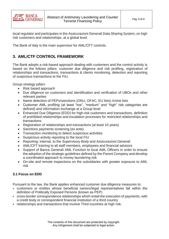

local regulator and participates in the Assicurazioni Generali Data Sharing System, on high risk customers and relationships, at a global level.

<span id="page-4-0"></span>The Bank of Italy is the main supervisor for AML/CFT controls.

## **3. AML/CTF CONTROL FRAMEWORK**

The Bank adopts a risk-based approach dealing with customers and the control activity is based on the follows pillars: customer due diligence and risk profiling, registration of relationships and transactions, transactions & clients monitoring, detection and reporting of suspicious transactions to the FIU.

*Group strategy pillars*

- Risk based approach
- Due diligence on customers and identification and verification of UBOs and other relevant parties
- Name detection of PEPs/sanctions (ONU, OFAC, EU lists) / crime lists
- Customer AML profiling (at least "low", "medium" and "high" risk categories are defined) and information exchange at a Group level
- Enhanced Due Diligence (EDD) for high-risk customers and transactions, definition of prohibited relationships and escalation processes for restricted relationships and transactions
- Registration of relationships and transactions (al least 10 years)
- Sanctions payments screening (ex ante)
- Transaction monitoring to detect suspicious activities
- Suspicious activity reporting to the local FIU
- Reporting: internal, to the Supervisory Body and Assicurazioni Generali
- AML/CFT training to all staff members, employees and financial advisors
- Support of Banca Generali AML Function to local AML Officers in order to ensure the adoption of the strategic guidelines defined by the Parent Company and develop a coordinated approach to money laundering risk
- On-site and remote inspections on the subsidiaries with greater exposure to AML risk

## <span id="page-4-1"></span>**3.1 Focus on EDD**

Pursuant to the law, the Bank applies enhanced customer due diligence measures to:

- customers or entities whose beneficial owners/legal representatives fall within the definition of Politically Exposed Persons (known as PEP)
- cross-border correspondence relationships which entail the execution of payments, with a credit body or correspondent financial institution of a third country
- relationships and transactions that involve Third countries at high risk.